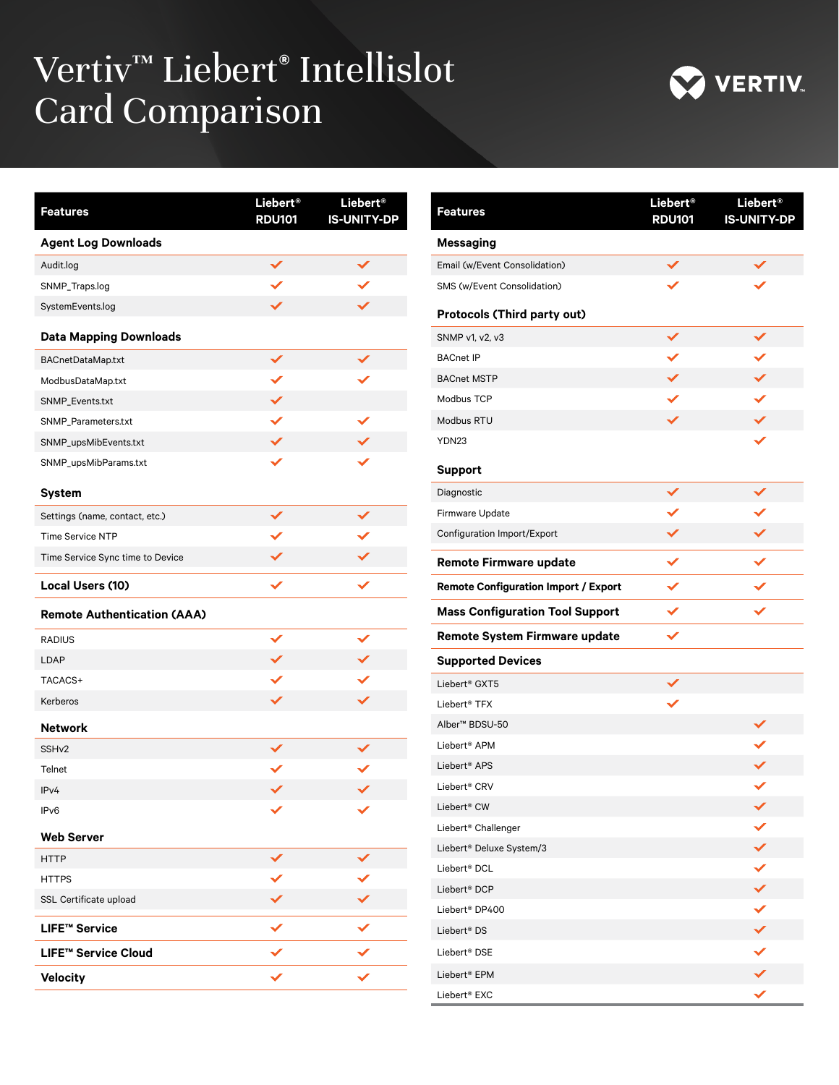## Vertiv™ Liebert**®** Intellislot Card Comparison



| <b>Features</b>                    | Liebert <sup>®</sup><br><b>RDU101</b> | Liebert <sup>®</sup><br><b>IS-UNITY-DP</b> |
|------------------------------------|---------------------------------------|--------------------------------------------|
| <b>Agent Log Downloads</b>         |                                       |                                            |
| Audit.log                          | $\checkmark$                          |                                            |
| SNMP_Traps.log                     |                                       |                                            |
| SystemEvents.log                   | ✓                                     |                                            |
| <b>Data Mapping Downloads</b>      |                                       |                                            |
| <b>BACnetDataMap.txt</b>           | $\checkmark$                          |                                            |
| ModbusDataMap.txt                  |                                       |                                            |
| SNMP_Events.txt                    |                                       |                                            |
| SNMP_Parameters.txt                |                                       | $\checkmark$                               |
| SNMP_upsMibEvents.txt              |                                       |                                            |
| SNMP_upsMibParams.txt              | ✓                                     |                                            |
| <b>System</b>                      |                                       |                                            |
| Settings (name, contact, etc.)     | ✓                                     |                                            |
| <b>Time Service NTP</b>            |                                       |                                            |
| Time Service Sync time to Device   |                                       |                                            |
| Local Users (10)                   | $\checkmark$                          | $\checkmark$                               |
| <b>Remote Authentication (AAA)</b> |                                       |                                            |
| <b>RADIUS</b>                      | $\checkmark$                          | $\checkmark$                               |
| LDAP                               |                                       |                                            |
| TACACS+                            |                                       | ✓                                          |
| Kerberos                           | $\checkmark$                          | ✓                                          |
| <b>Network</b>                     |                                       |                                            |
| SSH <sub>v2</sub>                  |                                       |                                            |
| Telnet                             |                                       |                                            |
| IPv4                               |                                       |                                            |
| IPv6                               | $\checkmark$                          | ✓                                          |
| <b>Web Server</b>                  |                                       |                                            |
| <b>HTTP</b>                        |                                       |                                            |
| <b>HTTPS</b>                       |                                       |                                            |
| SSL Certificate upload             |                                       |                                            |
| <b>LIFE™ Service</b>               |                                       |                                            |
| LIFE™ Service Cloud                |                                       |                                            |
| <b>Velocity</b>                    |                                       |                                            |

| <b>Features</b>                             | Liebert <sup>®</sup><br><b>RDU101</b> | Liebert <sup>®</sup><br><b>IS-UNITY-DP</b> |
|---------------------------------------------|---------------------------------------|--------------------------------------------|
| <b>Messaging</b>                            |                                       |                                            |
| Email (w/Event Consolidation)               |                                       |                                            |
| SMS (w/Event Consolidation)                 |                                       |                                            |
| <b>Protocols (Third party out)</b>          |                                       |                                            |
| SNMP v1, v2, v3                             |                                       |                                            |
| <b>BACnet IP</b>                            |                                       |                                            |
| <b>BACnet MSTP</b>                          |                                       |                                            |
| Modbus TCP                                  |                                       |                                            |
| Modbus RTU                                  | ✓                                     | $\checkmark$                               |
| YDN23                                       |                                       | ✓                                          |
| <b>Support</b>                              |                                       |                                            |
| Diagnostic                                  |                                       |                                            |
| Firmware Update                             |                                       |                                            |
| Configuration Import/Export                 |                                       |                                            |
| <b>Remote Firmware update</b>               |                                       |                                            |
| <b>Remote Configuration Import / Export</b> | $\checkmark$                          |                                            |
| <b>Mass Configuration Tool Support</b>      |                                       |                                            |
| <b>Remote System Firmware update</b>        |                                       |                                            |
| <b>Supported Devices</b>                    |                                       |                                            |
| Liebert <sup>®</sup> GXT5                   |                                       |                                            |
| Liebert <sup>®</sup> TFX                    |                                       |                                            |
| Alber™ BDSU-50                              |                                       |                                            |
| Liebert <sup>®</sup> APM                    |                                       |                                            |
| Liebert <sup>®</sup> APS                    |                                       |                                            |
| Liebert <sup>®</sup> CRV                    |                                       |                                            |
| Liebert® CW                                 |                                       |                                            |
| Liebert <sup>®</sup> Challenger             |                                       |                                            |
| Liebert® Deluxe System/3                    |                                       |                                            |
| Liebert <sup>®</sup> DCL                    |                                       |                                            |
| Liebert <sup>®</sup> DCP                    |                                       |                                            |
| Liebert <sup>®</sup> DP400                  |                                       | $\checkmark$                               |
| Liebert <sup>®</sup> DS                     |                                       | $\checkmark$                               |
| Liebert <sup>®</sup> DSE                    |                                       |                                            |
| Liebert <sup>®</sup> EPM                    |                                       |                                            |
| Liebert® EXC                                |                                       |                                            |